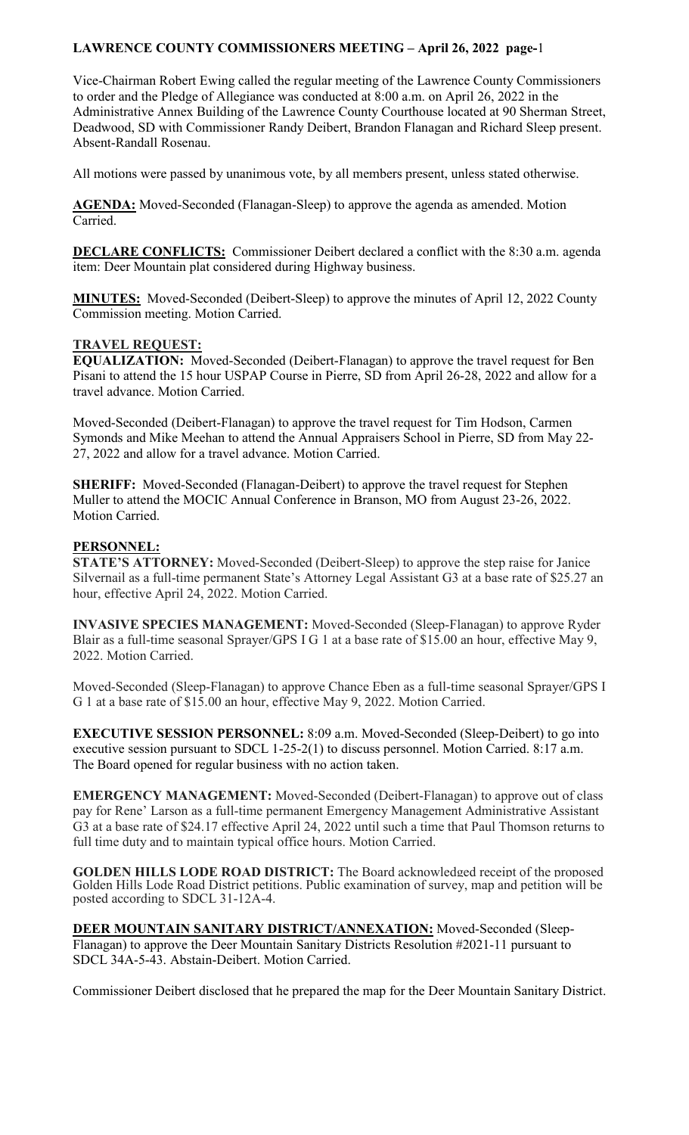Vice-Chairman Robert Ewing called the regular meeting of the Lawrence County Commissioners to order and the Pledge of Allegiance was conducted at 8:00 a.m. on April 26, 2022 in the Administrative Annex Building of the Lawrence County Courthouse located at 90 Sherman Street, Deadwood, SD with Commissioner Randy Deibert, Brandon Flanagan and Richard Sleep present. Absent-Randall Rosenau.

All motions were passed by unanimous vote, by all members present, unless stated otherwise.

**AGENDA:** Moved-Seconded (Flanagan-Sleep) to approve the agenda as amended. Motion Carried.

**DECLARE CONFLICTS:** Commissioner Deibert declared a conflict with the 8:30 a.m. agenda item: Deer Mountain plat considered during Highway business.

**MINUTES:** Moved-Seconded (Deibert-Sleep) to approve the minutes of April 12, 2022 County Commission meeting. Motion Carried.

#### **TRAVEL REQUEST:**

**EQUALIZATION:** Moved-Seconded (Deibert-Flanagan) to approve the travel request for Ben Pisani to attend the 15 hour USPAP Course in Pierre, SD from April 26-28, 2022 and allow for a travel advance. Motion Carried.

Moved-Seconded (Deibert-Flanagan) to approve the travel request for Tim Hodson, Carmen Symonds and Mike Meehan to attend the Annual Appraisers School in Pierre, SD from May 22- 27, 2022 and allow for a travel advance. Motion Carried.

**SHERIFF:** Moved-Seconded (Flanagan-Deibert) to approve the travel request for Stephen Muller to attend the MOCIC Annual Conference in Branson, MO from August 23-26, 2022. Motion Carried.

#### **PERSONNEL:**

**STATE'S ATTORNEY:** Moved-Seconded (Deibert-Sleep) to approve the step raise for Janice Silvernail as a full-time permanent State's Attorney Legal Assistant G3 at a base rate of \$25.27 an hour, effective April 24, 2022. Motion Carried.

**INVASIVE SPECIES MANAGEMENT:** Moved-Seconded (Sleep-Flanagan) to approve Ryder Blair as a full-time seasonal Sprayer/GPS I G 1 at a base rate of \$15.00 an hour, effective May 9, 2022. Motion Carried.

Moved-Seconded (Sleep-Flanagan) to approve Chance Eben as a full-time seasonal Sprayer/GPS I G 1 at a base rate of \$15.00 an hour, effective May 9, 2022. Motion Carried.

**EXECUTIVE SESSION PERSONNEL:** 8:09 a.m. Moved-Seconded (Sleep-Deibert) to go into executive session pursuant to SDCL 1-25-2(1) to discuss personnel. Motion Carried. 8:17 a.m. The Board opened for regular business with no action taken.

**EMERGENCY MANAGEMENT:** Moved-Seconded (Deibert-Flanagan) to approve out of class pay for Rene' Larson as a full-time permanent Emergency Management Administrative Assistant G3 at a base rate of \$24.17 effective April 24, 2022 until such a time that Paul Thomson returns to full time duty and to maintain typical office hours. Motion Carried.

**GOLDEN HILLS LODE ROAD DISTRICT:** The Board acknowledged receipt of the proposed Golden Hills Lode Road District petitions. Public examination of survey, map and petition will be posted according to SDCL 31-12A-4.

**DEER MOUNTAIN SANITARY DISTRICT/ANNEXATION:** Moved-Seconded (Sleep-Flanagan) to approve the Deer Mountain Sanitary Districts Resolution #2021-11 pursuant to SDCL 34A-5-43. Abstain-Deibert. Motion Carried.

Commissioner Deibert disclosed that he prepared the map for the Deer Mountain Sanitary District.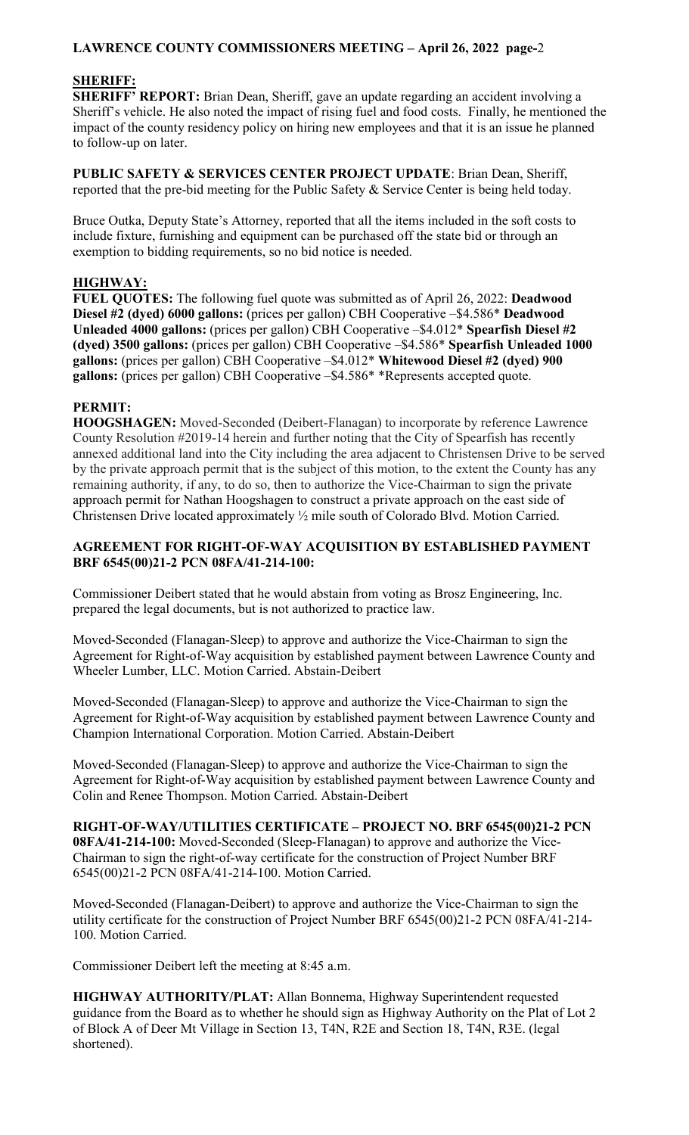## **SHERIFF:**

**SHERIFF' REPORT:** Brian Dean, Sheriff, gave an update regarding an accident involving a Sheriff's vehicle. He also noted the impact of rising fuel and food costs. Finally, he mentioned the impact of the county residency policy on hiring new employees and that it is an issue he planned to follow-up on later.

**PUBLIC SAFETY & SERVICES CENTER PROJECT UPDATE**: Brian Dean, Sheriff, reported that the pre-bid meeting for the Public Safety & Service Center is being held today.

Bruce Outka, Deputy State's Attorney, reported that all the items included in the soft costs to include fixture, furnishing and equipment can be purchased off the state bid or through an exemption to bidding requirements, so no bid notice is needed.

#### **HIGHWAY:**

**FUEL QUOTES:** The following fuel quote was submitted as of April 26, 2022: **Deadwood Diesel #2 (dyed) 6000 gallons:** (prices per gallon) CBH Cooperative –\$4.586\* **Deadwood Unleaded 4000 gallons:** (prices per gallon) CBH Cooperative –\$4.012\* **Spearfish Diesel #2 (dyed) 3500 gallons:** (prices per gallon) CBH Cooperative –\$4.586\* **Spearfish Unleaded 1000 gallons:** (prices per gallon) CBH Cooperative –\$4.012\* **Whitewood Diesel #2 (dyed) 900 gallons:** (prices per gallon) CBH Cooperative –\$4.586\* \*Represents accepted quote.

#### **PERMIT:**

**HOOGSHAGEN:** Moved-Seconded (Deibert-Flanagan) to incorporate by reference Lawrence County Resolution #2019-14 herein and further noting that the City of Spearfish has recently annexed additional land into the City including the area adjacent to Christensen Drive to be served by the private approach permit that is the subject of this motion, to the extent the County has any remaining authority, if any, to do so, then to authorize the Vice-Chairman to sign the private approach permit for Nathan Hoogshagen to construct a private approach on the east side of Christensen Drive located approximately ½ mile south of Colorado Blvd. Motion Carried.

#### **AGREEMENT FOR RIGHT-OF-WAY ACQUISITION BY ESTABLISHED PAYMENT BRF 6545(00)21-2 PCN 08FA/41-214-100:**

Commissioner Deibert stated that he would abstain from voting as Brosz Engineering, Inc. prepared the legal documents, but is not authorized to practice law.

Moved-Seconded (Flanagan-Sleep) to approve and authorize the Vice-Chairman to sign the Agreement for Right-of-Way acquisition by established payment between Lawrence County and Wheeler Lumber, LLC. Motion Carried. Abstain-Deibert

Moved-Seconded (Flanagan-Sleep) to approve and authorize the Vice-Chairman to sign the Agreement for Right-of-Way acquisition by established payment between Lawrence County and Champion International Corporation. Motion Carried. Abstain-Deibert

Moved-Seconded (Flanagan-Sleep) to approve and authorize the Vice-Chairman to sign the Agreement for Right-of-Way acquisition by established payment between Lawrence County and Colin and Renee Thompson. Motion Carried. Abstain-Deibert

**RIGHT-OF-WAY/UTILITIES CERTIFICATE – PROJECT NO. BRF 6545(00)21-2 PCN 08FA/41-214-100:** Moved-Seconded (Sleep-Flanagan) to approve and authorize the Vice-Chairman to sign the right-of-way certificate for the construction of Project Number BRF 6545(00)21-2 PCN 08FA/41-214-100. Motion Carried.

Moved-Seconded (Flanagan-Deibert) to approve and authorize the Vice-Chairman to sign the utility certificate for the construction of Project Number BRF 6545(00)21-2 PCN 08FA/41-214- 100. Motion Carried.

Commissioner Deibert left the meeting at 8:45 a.m.

**HIGHWAY AUTHORITY/PLAT:** Allan Bonnema, Highway Superintendent requested guidance from the Board as to whether he should sign as Highway Authority on the Plat of Lot 2 of Block A of Deer Mt Village in Section 13, T4N, R2E and Section 18, T4N, R3E. (legal shortened).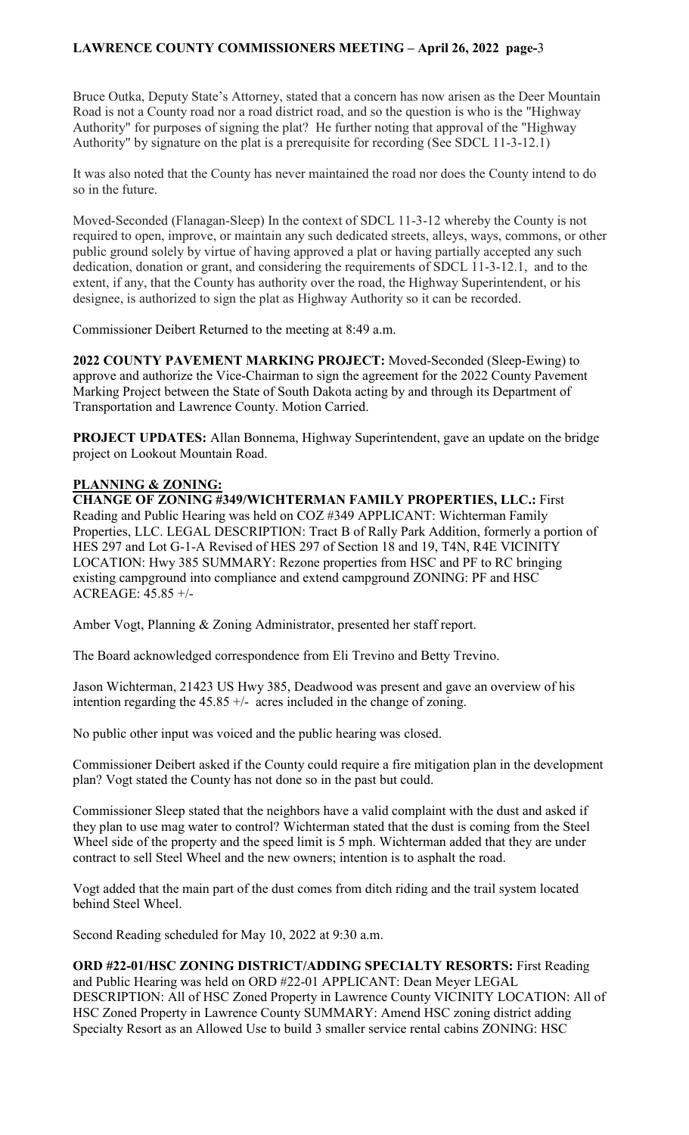Bruce Outka, Deputy State's Attorney, stated that a concern has now arisen as the Deer Mountain Road is not a County road nor a road district road, and so the question is who is the "Highway Authority" for purposes of signing the plat? He further noting that approval of the "Highway Authority" by signature on the plat is a prerequisite for recording (See SDCL 11-3-12.1)

It was also noted that the County has never maintained the road nor does the County intend to do so in the future.

Moved-Seconded (Flanagan-Sleep) In the context of SDCL 11-3-12 whereby the County is not required to open, improve, or maintain any such dedicated streets, alleys, ways, commons, or other public ground solely by virtue of having approved a plat or having partially accepted any such dedication, donation or grant, and considering the requirements of SDCL 11-3-12.1, and to the extent, if any, that the County has authority over the road, the Highway Superintendent, or his designee, is authorized to sign the plat as Highway Authority so it can be recorded.

Commissioner Deibert Returned to the meeting at 8:49 a.m.

**2022 COUNTY PAVEMENT MARKING PROJECT:** Moved-Seconded (Sleep-Ewing) to approve and authorize the Vice-Chairman to sign the agreement for the 2022 County Pavement Marking Project between the State of South Dakota acting by and through its Department of Transportation and Lawrence County. Motion Carried.

**PROJECT UPDATES:** Allan Bonnema, Highway Superintendent, gave an update on the bridge project on Lookout Mountain Road.

## **PLANNING & ZONING:**

**CHANGE OF ZONING #349/WICHTERMAN FAMILY PROPERTIES, LLC.:** First Reading and Public Hearing was held on COZ #349 APPLICANT: Wichterman Family Properties, LLC. LEGAL DESCRIPTION: Tract B of Rally Park Addition, formerly a portion of HES 297 and Lot G-1-A Revised of HES 297 of Section 18 and 19, T4N, R4E VICINITY LOCATION: Hwy 385 SUMMARY: Rezone properties from HSC and PF to RC bringing existing campground into compliance and extend campground ZONING: PF and HSC ACREAGE: 45.85 +/-

Amber Vogt, Planning & Zoning Administrator, presented her staff report.

The Board acknowledged correspondence from Eli Trevino and Betty Trevino.

Jason Wichterman, 21423 US Hwy 385, Deadwood was present and gave an overview of his intention regarding the  $45.85 +/-$  acres included in the change of zoning.

No public other input was voiced and the public hearing was closed.

Commissioner Deibert asked if the County could require a fire mitigation plan in the development plan? Vogt stated the County has not done so in the past but could.

Commissioner Sleep stated that the neighbors have a valid complaint with the dust and asked if they plan to use mag water to control? Wichterman stated that the dust is coming from the Steel Wheel side of the property and the speed limit is 5 mph. Wichterman added that they are under contract to sell Steel Wheel and the new owners; intention is to asphalt the road.

Vogt added that the main part of the dust comes from ditch riding and the trail system located behind Steel Wheel.

Second Reading scheduled for May 10, 2022 at 9:30 a.m.

**ORD #22-01/HSC ZONING DISTRICT/ADDING SPECIALTY RESORTS:** First Reading and Public Hearing was held on ORD #22-01 APPLICANT: Dean Meyer LEGAL DESCRIPTION: All of HSC Zoned Property in Lawrence County VICINITY LOCATION: All of HSC Zoned Property in Lawrence County SUMMARY: Amend HSC zoning district adding Specialty Resort as an Allowed Use to build 3 smaller service rental cabins ZONING: HSC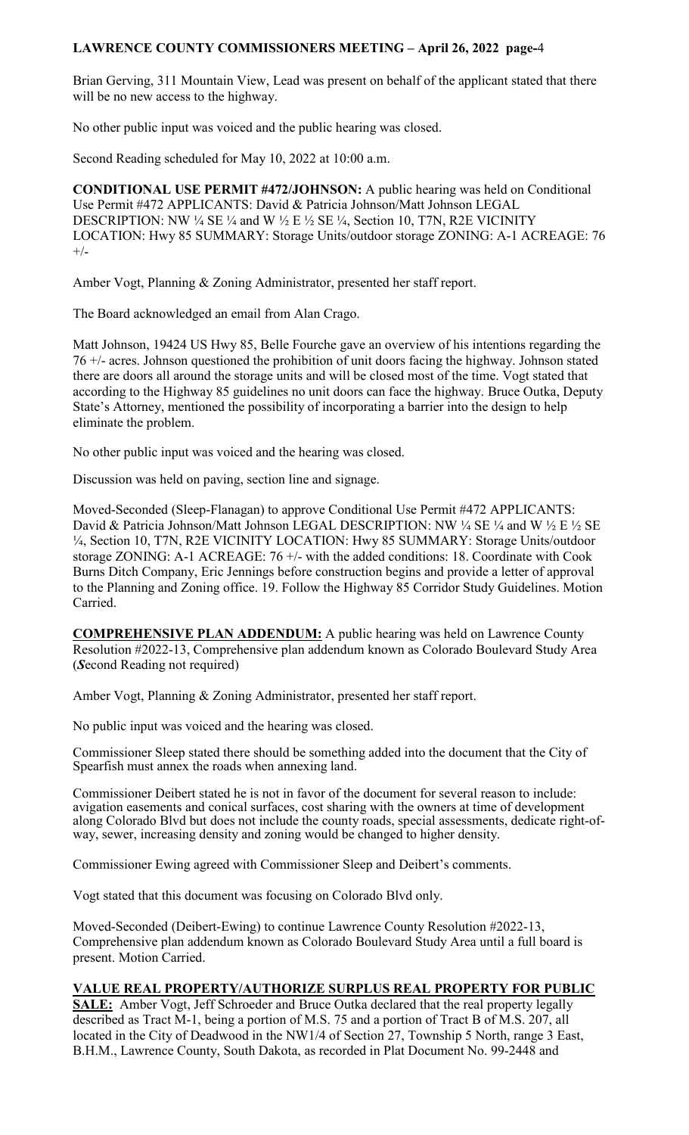Brian Gerving, 311 Mountain View, Lead was present on behalf of the applicant stated that there will be no new access to the highway.

No other public input was voiced and the public hearing was closed.

Second Reading scheduled for May 10, 2022 at 10:00 a.m.

**CONDITIONAL USE PERMIT #472/JOHNSON:** A public hearing was held on Conditional Use Permit #472 APPLICANTS: David & Patricia Johnson/Matt Johnson LEGAL DESCRIPTION: NW ¼ SE ¼ and W ½ E ½ SE ¼, Section 10, T7N, R2E VICINITY LOCATION: Hwy 85 SUMMARY: Storage Units/outdoor storage ZONING: A-1 ACREAGE: 76  $+/-$ 

Amber Vogt, Planning & Zoning Administrator, presented her staff report.

The Board acknowledged an email from Alan Crago.

Matt Johnson, 19424 US Hwy 85, Belle Fourche gave an overview of his intentions regarding the 76 +/- acres. Johnson questioned the prohibition of unit doors facing the highway. Johnson stated there are doors all around the storage units and will be closed most of the time. Vogt stated that according to the Highway 85 guidelines no unit doors can face the highway. Bruce Outka, Deputy State's Attorney, mentioned the possibility of incorporating a barrier into the design to help eliminate the problem.

No other public input was voiced and the hearing was closed.

Discussion was held on paving, section line and signage.

Moved-Seconded (Sleep-Flanagan) to approve Conditional Use Permit #472 APPLICANTS: David & Patricia Johnson/Matt Johnson LEGAL DESCRIPTION: NW  $\frac{1}{4}$  SE  $\frac{1}{4}$  and W  $\frac{1}{2}$  E  $\frac{1}{2}$  SE ¼, Section 10, T7N, R2E VICINITY LOCATION: Hwy 85 SUMMARY: Storage Units/outdoor storage ZONING: A-1 ACREAGE: 76 +/- with the added conditions: 18. Coordinate with Cook Burns Ditch Company, Eric Jennings before construction begins and provide a letter of approval to the Planning and Zoning office. 19. Follow the Highway 85 Corridor Study Guidelines. Motion Carried.

**COMPREHENSIVE PLAN ADDENDUM:** A public hearing was held on Lawrence County Resolution #2022-13, Comprehensive plan addendum known as Colorado Boulevard Study Area (*S*econd Reading not required)

Amber Vogt, Planning & Zoning Administrator, presented her staff report.

No public input was voiced and the hearing was closed.

Commissioner Sleep stated there should be something added into the document that the City of Spearfish must annex the roads when annexing land.

Commissioner Deibert stated he is not in favor of the document for several reason to include: avigation easements and conical surfaces, cost sharing with the owners at time of development along Colorado Blvd but does not include the county roads, special assessments, dedicate right-ofway, sewer, increasing density and zoning would be changed to higher density.

Commissioner Ewing agreed with Commissioner Sleep and Deibert's comments.

Vogt stated that this document was focusing on Colorado Blvd only.

Moved-Seconded (Deibert-Ewing) to continue Lawrence County Resolution #2022-13, Comprehensive plan addendum known as Colorado Boulevard Study Area until a full board is present. Motion Carried.

### **VALUE REAL PROPERTY/AUTHORIZE SURPLUS REAL PROPERTY FOR PUBLIC**

**SALE:** Amber Vogt, Jeff Schroeder and Bruce Outka declared that the real property legally described as Tract M-1, being a portion of M.S. 75 and a portion of Tract B of M.S. 207, all located in the City of Deadwood in the NW1/4 of Section 27, Township 5 North, range 3 East, B.H.M., Lawrence County, South Dakota, as recorded in Plat Document No. 99-2448 and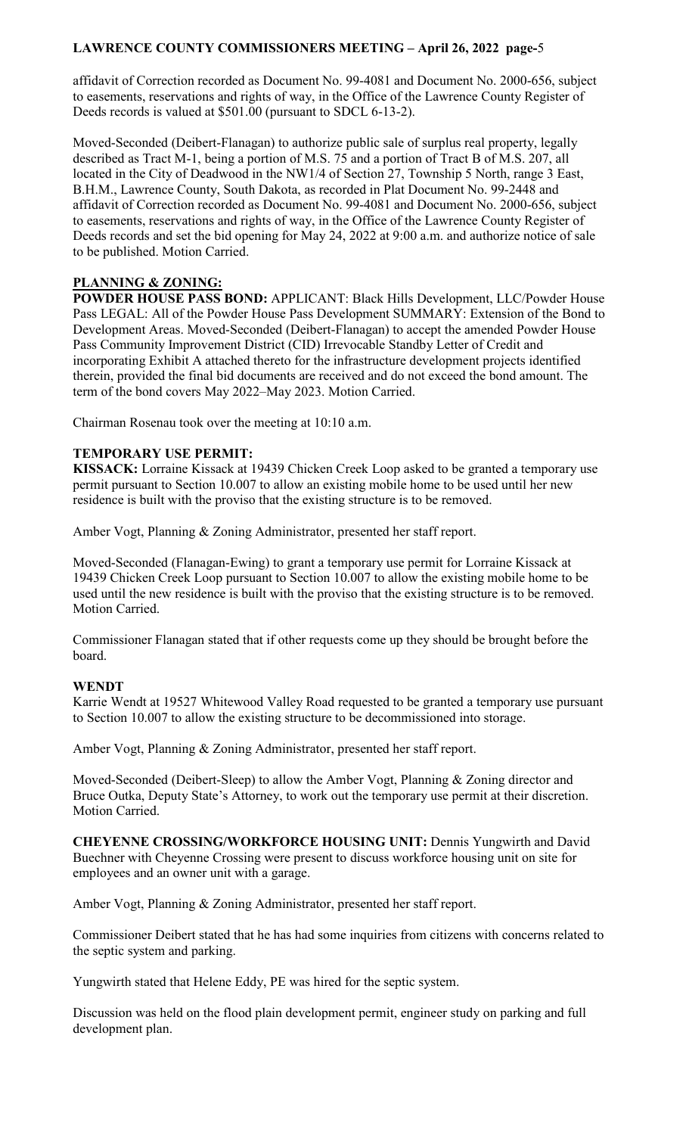affidavit of Correction recorded as Document No. 99-4081 and Document No. 2000-656, subject to easements, reservations and rights of way, in the Office of the Lawrence County Register of Deeds records is valued at \$501.00 (pursuant to SDCL 6-13-2).

Moved-Seconded (Deibert-Flanagan) to authorize public sale of surplus real property, legally described as Tract M-1, being a portion of M.S. 75 and a portion of Tract B of M.S. 207, all located in the City of Deadwood in the NW1/4 of Section 27, Township 5 North, range 3 East, B.H.M., Lawrence County, South Dakota, as recorded in Plat Document No. 99-2448 and affidavit of Correction recorded as Document No. 99-4081 and Document No. 2000-656, subject to easements, reservations and rights of way, in the Office of the Lawrence County Register of Deeds records and set the bid opening for May 24, 2022 at 9:00 a.m. and authorize notice of sale to be published. Motion Carried.

# **PLANNING & ZONING:**

**POWDER HOUSE PASS BOND:** APPLICANT: Black Hills Development, LLC/Powder House Pass LEGAL: All of the Powder House Pass Development SUMMARY: Extension of the Bond to Development Areas. Moved-Seconded (Deibert-Flanagan) to accept the amended Powder House Pass Community Improvement District (CID) Irrevocable Standby Letter of Credit and incorporating Exhibit A attached thereto for the infrastructure development projects identified therein, provided the final bid documents are received and do not exceed the bond amount. The term of the bond covers May 2022–May 2023. Motion Carried.

Chairman Rosenau took over the meeting at 10:10 a.m.

### **TEMPORARY USE PERMIT:**

**KISSACK:** Lorraine Kissack at 19439 Chicken Creek Loop asked to be granted a temporary use permit pursuant to Section 10.007 to allow an existing mobile home to be used until her new residence is built with the proviso that the existing structure is to be removed.

Amber Vogt, Planning & Zoning Administrator, presented her staff report.

Moved-Seconded (Flanagan-Ewing) to grant a temporary use permit for Lorraine Kissack at 19439 Chicken Creek Loop pursuant to Section 10.007 to allow the existing mobile home to be used until the new residence is built with the proviso that the existing structure is to be removed. Motion Carried.

Commissioner Flanagan stated that if other requests come up they should be brought before the board.

### **WENDT**

Karrie Wendt at 19527 Whitewood Valley Road requested to be granted a temporary use pursuant to Section 10.007 to allow the existing structure to be decommissioned into storage.

Amber Vogt, Planning & Zoning Administrator, presented her staff report.

Moved-Seconded (Deibert-Sleep) to allow the Amber Vogt, Planning & Zoning director and Bruce Outka, Deputy State's Attorney, to work out the temporary use permit at their discretion. Motion Carried.

**CHEYENNE CROSSING/WORKFORCE HOUSING UNIT:** Dennis Yungwirth and David Buechner with Cheyenne Crossing were present to discuss workforce housing unit on site for employees and an owner unit with a garage.

Amber Vogt, Planning & Zoning Administrator, presented her staff report.

Commissioner Deibert stated that he has had some inquiries from citizens with concerns related to the septic system and parking.

Yungwirth stated that Helene Eddy, PE was hired for the septic system.

Discussion was held on the flood plain development permit, engineer study on parking and full development plan.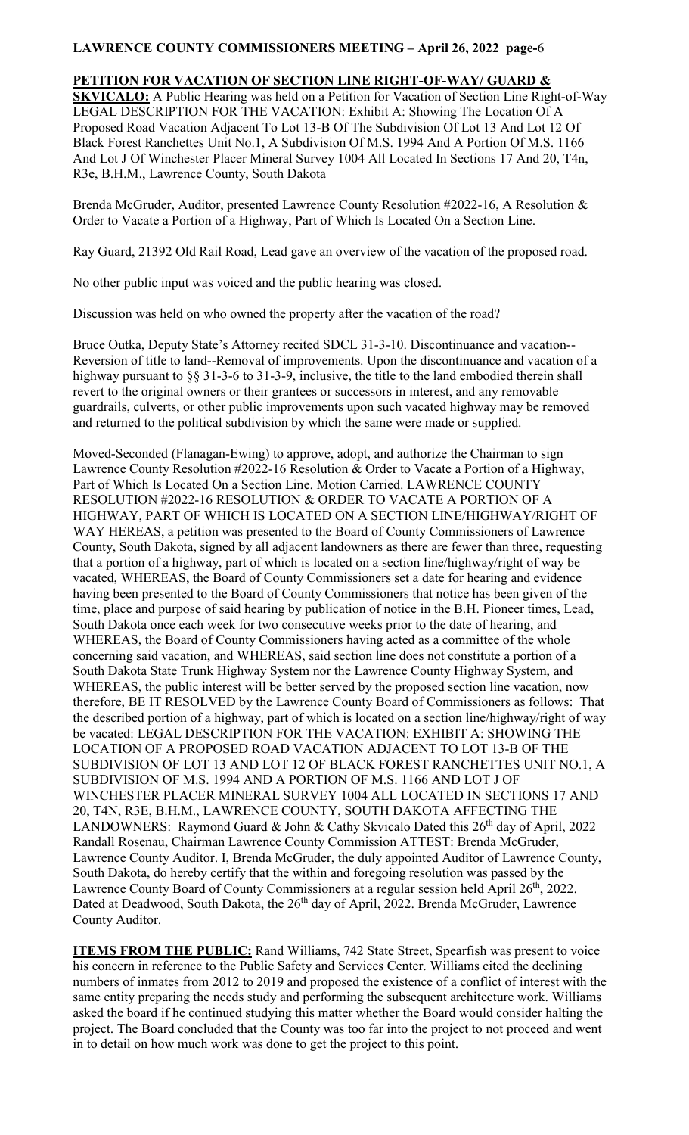#### **PETITION FOR VACATION OF SECTION LINE RIGHT-OF-WAY/ GUARD &**

**SKVICALO:** A Public Hearing was held on a Petition for Vacation of Section Line Right-of-Way LEGAL DESCRIPTION FOR THE VACATION: Exhibit A: Showing The Location Of A Proposed Road Vacation Adjacent To Lot 13-B Of The Subdivision Of Lot 13 And Lot 12 Of Black Forest Ranchettes Unit No.1, A Subdivision Of M.S. 1994 And A Portion Of M.S. 1166 And Lot J Of Winchester Placer Mineral Survey 1004 All Located In Sections 17 And 20, T4n, R3e, B.H.M., Lawrence County, South Dakota

Brenda McGruder, Auditor, presented Lawrence County Resolution #2022-16, A Resolution & Order to Vacate a Portion of a Highway, Part of Which Is Located On a Section Line.

Ray Guard, 21392 Old Rail Road, Lead gave an overview of the vacation of the proposed road.

No other public input was voiced and the public hearing was closed.

Discussion was held on who owned the property after the vacation of the road?

Bruce Outka, Deputy State's Attorney recited SDCL 31-3-10. Discontinuance and vacation-- Reversion of title to land--Removal of improvements. Upon the discontinuance and vacation of a highway pursuant to §§ 31-3-6 to 31-3-9, inclusive, the title to the land embodied therein shall revert to the original owners or their grantees or successors in interest, and any removable guardrails, culverts, or other public improvements upon such vacated highway may be removed and returned to the political subdivision by which the same were made or supplied.

Moved-Seconded (Flanagan-Ewing) to approve, adopt, and authorize the Chairman to sign Lawrence County Resolution #2022-16 Resolution & Order to Vacate a Portion of a Highway, Part of Which Is Located On a Section Line. Motion Carried. LAWRENCE COUNTY RESOLUTION #2022-16 RESOLUTION & ORDER TO VACATE A PORTION OF A HIGHWAY, PART OF WHICH IS LOCATED ON A SECTION LINE/HIGHWAY/RIGHT OF WAY HEREAS, a petition was presented to the Board of County Commissioners of Lawrence County, South Dakota, signed by all adjacent landowners as there are fewer than three, requesting that a portion of a highway, part of which is located on a section line/highway/right of way be vacated, WHEREAS, the Board of County Commissioners set a date for hearing and evidence having been presented to the Board of County Commissioners that notice has been given of the time, place and purpose of said hearing by publication of notice in the B.H. Pioneer times, Lead, South Dakota once each week for two consecutive weeks prior to the date of hearing, and WHEREAS, the Board of County Commissioners having acted as a committee of the whole concerning said vacation, and WHEREAS, said section line does not constitute a portion of a South Dakota State Trunk Highway System nor the Lawrence County Highway System, and WHEREAS, the public interest will be better served by the proposed section line vacation, now therefore, BE IT RESOLVED by the Lawrence County Board of Commissioners as follows: That the described portion of a highway, part of which is located on a section line/highway/right of way be vacated: LEGAL DESCRIPTION FOR THE VACATION: EXHIBIT A: SHOWING THE LOCATION OF A PROPOSED ROAD VACATION ADJACENT TO LOT 13-B OF THE SUBDIVISION OF LOT 13 AND LOT 12 OF BLACK FOREST RANCHETTES UNIT NO.1, A SUBDIVISION OF M.S. 1994 AND A PORTION OF M.S. 1166 AND LOT J OF WINCHESTER PLACER MINERAL SURVEY 1004 ALL LOCATED IN SECTIONS 17 AND 20, T4N, R3E, B.H.M., LAWRENCE COUNTY, SOUTH DAKOTA AFFECTING THE LANDOWNERS: Raymond Guard & John & Cathy Skvicalo Dated this  $26<sup>th</sup>$  day of April, 2022 Randall Rosenau, Chairman Lawrence County Commission ATTEST: Brenda McGruder, Lawrence County Auditor. I, Brenda McGruder, the duly appointed Auditor of Lawrence County, South Dakota, do hereby certify that the within and foregoing resolution was passed by the Lawrence County Board of County Commissioners at a regular session held April 26<sup>th</sup>, 2022. Dated at Deadwood, South Dakota, the 26<sup>th</sup> day of April, 2022. Brenda McGruder, Lawrence County Auditor.

**ITEMS FROM THE PUBLIC:** Rand Williams, 742 State Street, Spearfish was present to voice his concern in reference to the Public Safety and Services Center. Williams cited the declining numbers of inmates from 2012 to 2019 and proposed the existence of a conflict of interest with the same entity preparing the needs study and performing the subsequent architecture work. Williams asked the board if he continued studying this matter whether the Board would consider halting the project. The Board concluded that the County was too far into the project to not proceed and went in to detail on how much work was done to get the project to this point.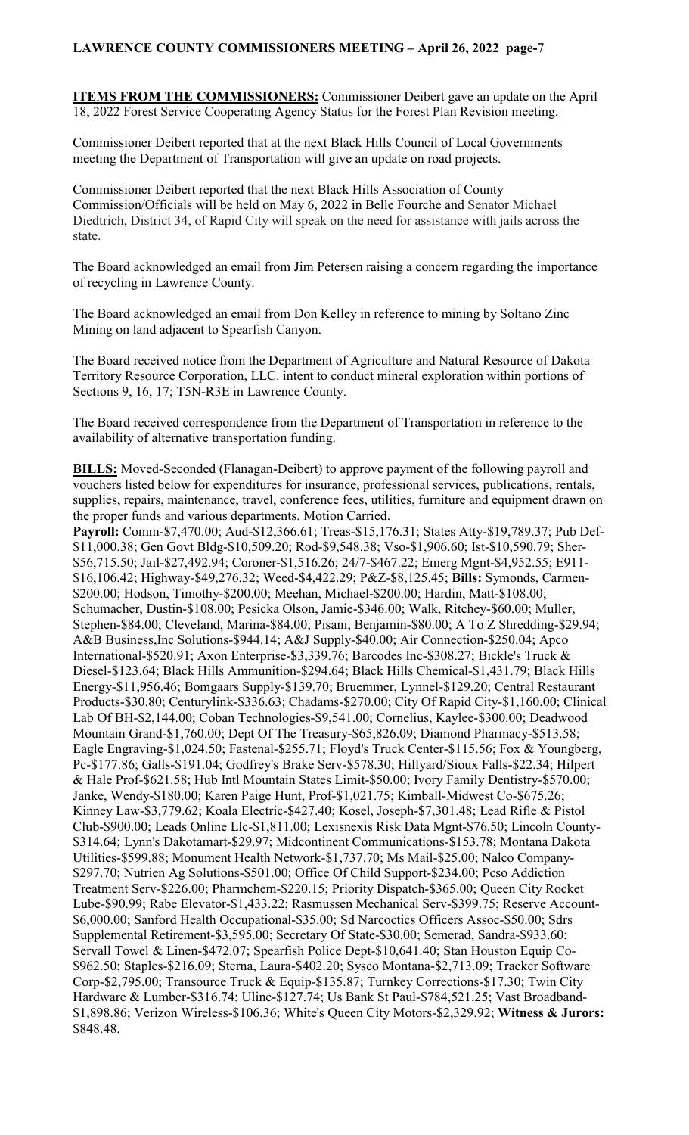**ITEMS FROM THE COMMISSIONERS:** Commissioner Deibert gave an update on the April 18, 2022 Forest Service Cooperating Agency Status for the Forest Plan Revision meeting.

Commissioner Deibert reported that at the next Black Hills Council of Local Governments meeting the Department of Transportation will give an update on road projects.

Commissioner Deibert reported that the next Black Hills Association of County Commission/Officials will be held on May 6, 2022 in Belle Fourche and Senator Michael Diedtrich, District 34, of Rapid City will speak on the need for assistance with jails across the state.

The Board acknowledged an email from Jim Petersen raising a concern regarding the importance of recycling in Lawrence County.

The Board acknowledged an email from Don Kelley in reference to mining by Soltano Zinc Mining on land adjacent to Spearfish Canyon.

The Board received notice from the Department of Agriculture and Natural Resource of Dakota Territory Resource Corporation, LLC. intent to conduct mineral exploration within portions of Sections 9, 16, 17; T5N-R3E in Lawrence County.

The Board received correspondence from the Department of Transportation in reference to the availability of alternative transportation funding.

**BILLS:** Moved-Seconded (Flanagan-Deibert) to approve payment of the following payroll and vouchers listed below for expenditures for insurance, professional services, publications, rentals, supplies, repairs, maintenance, travel, conference fees, utilities, furniture and equipment drawn on the proper funds and various departments. Motion Carried.

**Payroll:** Comm-\$7,470.00; Aud-\$12,366.61; Treas-\$15,176.31; States Atty-\$19,789.37; Pub Def- \$11,000.38; Gen Govt Bldg-\$10,509.20; Rod-\$9,548.38; Vso-\$1,906.60; Ist-\$10,590.79; Sher- \$56,715.50; Jail-\$27,492.94; Coroner-\$1,516.26; 24/7-\$467.22; Emerg Mgnt-\$4,952.55; E911- \$16,106.42; Highway-\$49,276.32; Weed-\$4,422.29; P&Z-\$8,125.45; **Bills:** Symonds, Carmen- \$200.00; Hodson, Timothy-\$200.00; Meehan, Michael-\$200.00; Hardin, Matt-\$108.00; Schumacher, Dustin-\$108.00; Pesicka Olson, Jamie-\$346.00; Walk, Ritchey-\$60.00; Muller, Stephen-\$84.00; Cleveland, Marina-\$84.00; Pisani, Benjamin-\$80.00; A To Z Shredding-\$29.94; A&B Business,Inc Solutions-\$944.14; A&J Supply-\$40.00; Air Connection-\$250.04; Apco International-\$520.91; Axon Enterprise-\$3,339.76; Barcodes Inc-\$308.27; Bickle's Truck & Diesel-\$123.64; Black Hills Ammunition-\$294.64; Black Hills Chemical-\$1,431.79; Black Hills Energy-\$11,956.46; Bomgaars Supply-\$139.70; Bruemmer, Lynnel-\$129.20; Central Restaurant Products-\$30.80; Centurylink-\$336.63; Chadams-\$270.00; City Of Rapid City-\$1,160.00; Clinical Lab Of BH-\$2,144.00; Coban Technologies-\$9,541.00; Cornelius, Kaylee-\$300.00; Deadwood Mountain Grand-\$1,760.00; Dept Of The Treasury-\$65,826.09; Diamond Pharmacy-\$513.58; Eagle Engraving-\$1,024.50; Fastenal-\$255.71; Floyd's Truck Center-\$115.56; Fox & Youngberg, Pc-\$177.86; Galls-\$191.04; Godfrey's Brake Serv-\$578.30; Hillyard/Sioux Falls-\$22.34; Hilpert & Hale Prof-\$621.58; Hub Intl Mountain States Limit-\$50.00; Ivory Family Dentistry-\$570.00; Janke, Wendy-\$180.00; Karen Paige Hunt, Prof-\$1,021.75; Kimball-Midwest Co-\$675.26; Kinney Law-\$3,779.62; Koala Electric-\$427.40; Kosel, Joseph-\$7,301.48; Lead Rifle & Pistol Club-\$900.00; Leads Online Llc-\$1,811.00; Lexisnexis Risk Data Mgnt-\$76.50; Lincoln County- \$314.64; Lynn's Dakotamart-\$29.97; Midcontinent Communications-\$153.78; Montana Dakota Utilities-\$599.88; Monument Health Network-\$1,737.70; Ms Mail-\$25.00; Nalco Company- \$297.70; Nutrien Ag Solutions-\$501.00; Office Of Child Support-\$234.00; Pcso Addiction Treatment Serv-\$226.00; Pharmchem-\$220.15; Priority Dispatch-\$365.00; Queen City Rocket Lube-\$90.99; Rabe Elevator-\$1,433.22; Rasmussen Mechanical Serv-\$399.75; Reserve Account- \$6,000.00; Sanford Health Occupational-\$35.00; Sd Narcoctics Officers Assoc-\$50.00; Sdrs Supplemental Retirement-\$3,595.00; Secretary Of State-\$30.00; Semerad, Sandra-\$933.60; Servall Towel & Linen-\$472.07; Spearfish Police Dept-\$10,641.40; Stan Houston Equip Co- \$962.50; Staples-\$216.09; Sterna, Laura-\$402.20; Sysco Montana-\$2,713.09; Tracker Software Corp-\$2,795.00; Transource Truck & Equip-\$135.87; Turnkey Corrections-\$17.30; Twin City Hardware & Lumber-\$316.74; Uline-\$127.74; Us Bank St Paul-\$784,521.25; Vast Broadband- \$1,898.86; Verizon Wireless-\$106.36; White's Queen City Motors-\$2,329.92; **Witness & Jurors:**  \$848.48.